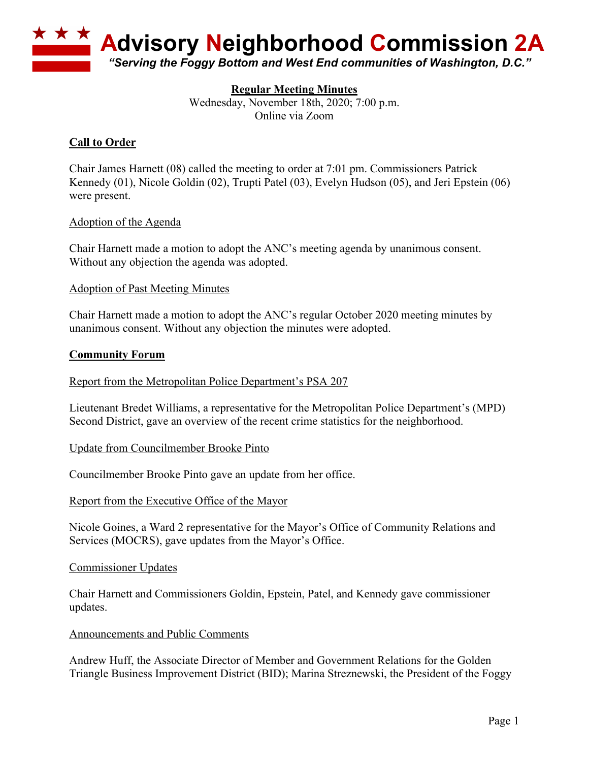

# **Regular Meeting Minutes**

Wednesday, November 18th, 2020; 7:00 p.m. Online via Zoom

# **Call to Order**

Chair James Harnett (08) called the meeting to order at 7:01 pm. Commissioners Patrick Kennedy (01), Nicole Goldin (02), Trupti Patel (03), Evelyn Hudson (05), and Jeri Epstein (06) were present.

## Adoption of the Agenda

Chair Harnett made a motion to adopt the ANC's meeting agenda by unanimous consent. Without any objection the agenda was adopted.

## Adoption of Past Meeting Minutes

Chair Harnett made a motion to adopt the ANC's regular October 2020 meeting minutes by unanimous consent. Without any objection the minutes were adopted.

## **Community Forum**

## Report from the Metropolitan Police Department's PSA 207

Lieutenant Bredet Williams, a representative for the Metropolitan Police Department's (MPD) Second District, gave an overview of the recent crime statistics for the neighborhood.

## Update from Councilmember Brooke Pinto

Councilmember Brooke Pinto gave an update from her office.

## Report from the Executive Office of the Mayor

Nicole Goines, a Ward 2 representative for the Mayor's Office of Community Relations and Services (MOCRS), gave updates from the Mayor's Office.

## Commissioner Updates

Chair Harnett and Commissioners Goldin, Epstein, Patel, and Kennedy gave commissioner updates.

#### Announcements and Public Comments

Andrew Huff, the Associate Director of Member and Government Relations for the Golden Triangle Business Improvement District (BID); Marina Streznewski, the President of the Foggy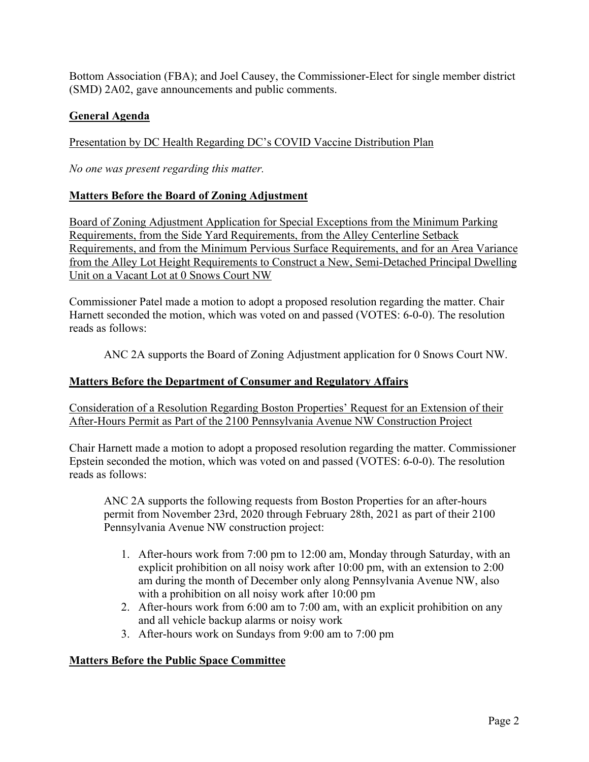Bottom Association (FBA); and Joel Causey, the Commissioner-Elect for single member district (SMD) 2A02, gave announcements and public comments.

# **General Agenda**

Presentation by DC Health Regarding DC's COVID Vaccine Distribution Plan

*No one was present regarding this matter.*

# **Matters Before the Board of Zoning Adjustment**

Board of Zoning Adjustment Application for Special Exceptions from the Minimum Parking Requirements, from the Side Yard Requirements, from the Alley Centerline Setback Requirements, and from the Minimum Pervious Surface Requirements, and for an Area Variance from the Alley Lot Height Requirements to Construct a New, Semi-Detached Principal Dwelling Unit on a Vacant Lot at 0 Snows Court NW

Commissioner Patel made a motion to adopt a proposed resolution regarding the matter. Chair Harnett seconded the motion, which was voted on and passed (VOTES: 6-0-0). The resolution reads as follows:

ANC 2A supports the Board of Zoning Adjustment application for 0 Snows Court NW.

## **Matters Before the Department of Consumer and Regulatory Affairs**

Consideration of a Resolution Regarding Boston Properties' Request for an Extension of their After-Hours Permit as Part of the 2100 Pennsylvania Avenue NW Construction Project

Chair Harnett made a motion to adopt a proposed resolution regarding the matter. Commissioner Epstein seconded the motion, which was voted on and passed (VOTES: 6-0-0). The resolution reads as follows:

ANC 2A supports the following requests from Boston Properties for an after-hours permit from November 23rd, 2020 through February 28th, 2021 as part of their 2100 Pennsylvania Avenue NW construction project:

- 1. After-hours work from 7:00 pm to 12:00 am, Monday through Saturday, with an explicit prohibition on all noisy work after 10:00 pm, with an extension to 2:00 am during the month of December only along Pennsylvania Avenue NW, also with a prohibition on all noisy work after 10:00 pm
- 2. After-hours work from 6:00 am to 7:00 am, with an explicit prohibition on any and all vehicle backup alarms or noisy work
- 3. After-hours work on Sundays from 9:00 am to 7:00 pm

## **Matters Before the Public Space Committee**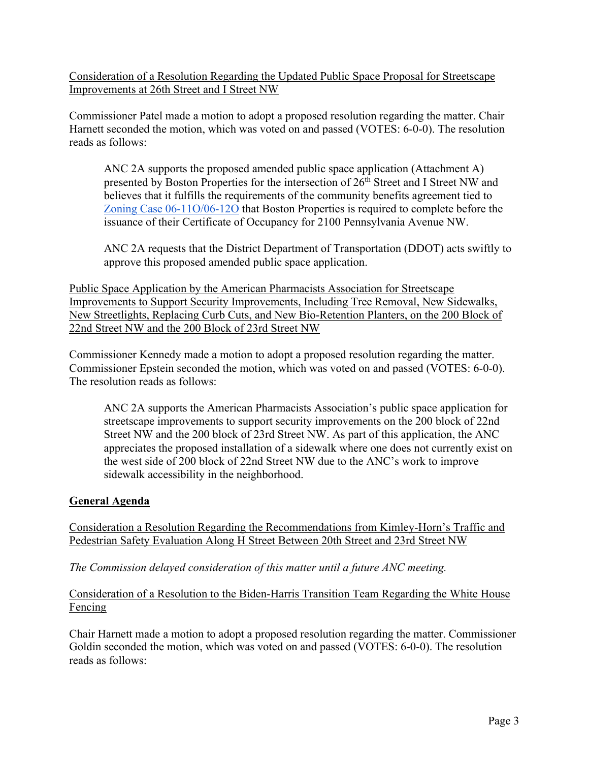Consideration of a Resolution Regarding the Updated Public Space Proposal for Streetscape Improvements at 26th Street and I Street NW

Commissioner Patel made a motion to adopt a proposed resolution regarding the matter. Chair Harnett seconded the motion, which was voted on and passed (VOTES: 6-0-0). The resolution reads as follows:

ANC 2A supports the proposed amended public space application (Attachment A) presented by Boston Properties for the intersection of 26<sup>th</sup> Street and I Street NW and believes that it fulfills the requirements of the community benefits agreement tied to Zoning Case 06-11O/06-12O that Boston Properties is required to complete before the issuance of their Certificate of Occupancy for 2100 Pennsylvania Avenue NW.

ANC 2A requests that the District Department of Transportation (DDOT) acts swiftly to approve this proposed amended public space application.

Public Space Application by the American Pharmacists Association for Streetscape Improvements to Support Security Improvements, Including Tree Removal, New Sidewalks, New Streetlights, Replacing Curb Cuts, and New Bio-Retention Planters, on the 200 Block of 22nd Street NW and the 200 Block of 23rd Street NW

Commissioner Kennedy made a motion to adopt a proposed resolution regarding the matter. Commissioner Epstein seconded the motion, which was voted on and passed (VOTES: 6-0-0). The resolution reads as follows:

ANC 2A supports the American Pharmacists Association's public space application for streetscape improvements to support security improvements on the 200 block of 22nd Street NW and the 200 block of 23rd Street NW. As part of this application, the ANC appreciates the proposed installation of a sidewalk where one does not currently exist on the west side of 200 block of 22nd Street NW due to the ANC's work to improve sidewalk accessibility in the neighborhood.

# **General Agenda**

Consideration a Resolution Regarding the Recommendations from Kimley-Horn's Traffic and Pedestrian Safety Evaluation Along H Street Between 20th Street and 23rd Street NW

*The Commission delayed consideration of this matter until a future ANC meeting.*

# Consideration of a Resolution to the Biden-Harris Transition Team Regarding the White House Fencing

Chair Harnett made a motion to adopt a proposed resolution regarding the matter. Commissioner Goldin seconded the motion, which was voted on and passed (VOTES: 6-0-0). The resolution reads as follows: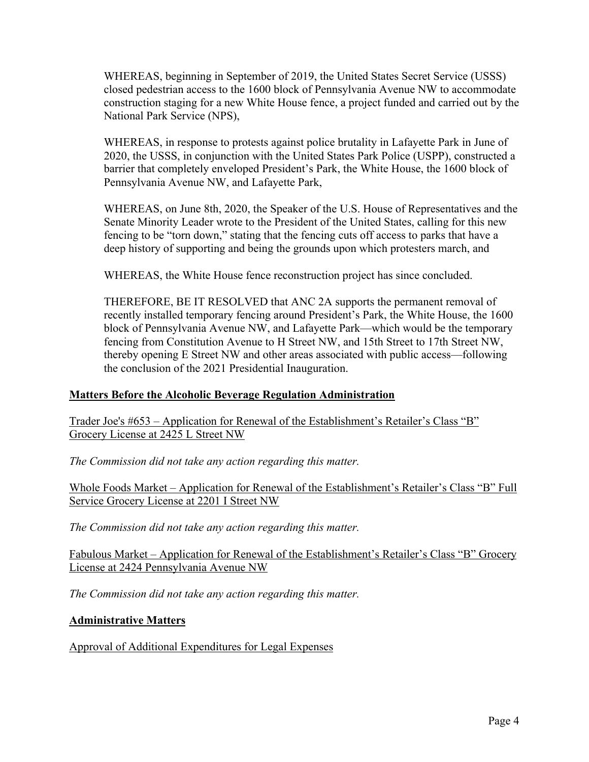WHEREAS, beginning in September of 2019, the United States Secret Service (USSS) closed pedestrian access to the 1600 block of Pennsylvania Avenue NW to accommodate construction staging for a new White House fence, a project funded and carried out by the National Park Service (NPS),

WHEREAS, in response to protests against police brutality in Lafayette Park in June of 2020, the USSS, in conjunction with the United States Park Police (USPP), constructed a barrier that completely enveloped President's Park, the White House, the 1600 block of Pennsylvania Avenue NW, and Lafayette Park,

WHEREAS, on June 8th, 2020, the Speaker of the U.S. House of Representatives and the Senate Minority Leader wrote to the President of the United States, calling for this new fencing to be "torn down," stating that the fencing cuts off access to parks that have a deep history of supporting and being the grounds upon which protesters march, and

WHEREAS, the White House fence reconstruction project has since concluded.

THEREFORE, BE IT RESOLVED that ANC 2A supports the permanent removal of recently installed temporary fencing around President's Park, the White House, the 1600 block of Pennsylvania Avenue NW, and Lafayette Park—which would be the temporary fencing from Constitution Avenue to H Street NW, and 15th Street to 17th Street NW, thereby opening E Street NW and other areas associated with public access—following the conclusion of the 2021 Presidential Inauguration.

## **Matters Before the Alcoholic Beverage Regulation Administration**

Trader Joe's #653 – Application for Renewal of the Establishment's Retailer's Class "B" Grocery License at 2425 L Street NW

*The Commission did not take any action regarding this matter.*

Whole Foods Market – Application for Renewal of the Establishment's Retailer's Class "B" Full Service Grocery License at 2201 I Street NW

*The Commission did not take any action regarding this matter.*

Fabulous Market – Application for Renewal of the Establishment's Retailer's Class "B" Grocery License at 2424 Pennsylvania Avenue NW

*The Commission did not take any action regarding this matter.*

# **Administrative Matters**

Approval of Additional Expenditures for Legal Expenses